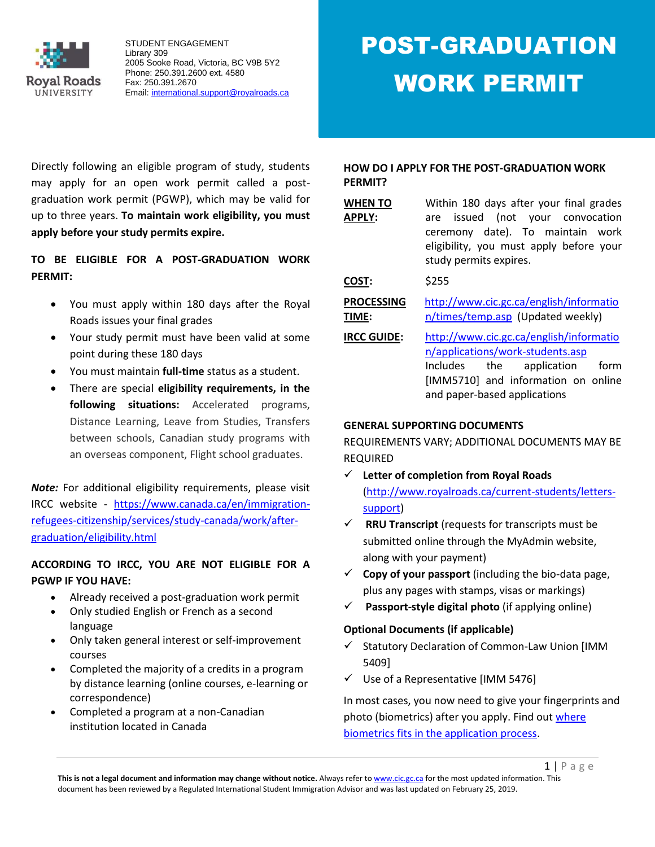

Directly following an eligible program of study, students may apply for an open work permit called a postgraduation work permit (PGWP), which may be valid for up to three years. **To maintain work eligibility, you must apply before your study permits expire.**

**TO BE ELIGIBLE FOR A POST-GRADUATION WORK PERMIT:**

- You must apply within 180 days after the Royal Roads issues your final grades
- Your study permit must have been valid at some point during these 180 days
- You must maintain **full-time** status as a student.
- There are special **eligibility requirements, in the following situations:** Accelerated programs, Distance Learning, Leave from Studies, Transfers between schools, Canadian study programs with an overseas component, Flight school graduates.

*Note:* For additional eligibility requirements, please visit IRCC website - [https://www.canada.ca/en/immigration](https://www.canada.ca/en/immigration-refugees-citizenship/services/study-canada/work/after-graduation/eligibility.html)[refugees-citizenship/services/study-canada/work/after](https://www.canada.ca/en/immigration-refugees-citizenship/services/study-canada/work/after-graduation/eligibility.html)[graduation/eligibility.html](https://www.canada.ca/en/immigration-refugees-citizenship/services/study-canada/work/after-graduation/eligibility.html)

# **ACCORDING TO IRCC, YOU ARE NOT ELIGIBLE FOR A PGWP IF YOU HAVE:**

- Already received a post-graduation work permit
- Only studied English or French as a second language
- Only taken general interest or self-improvement courses
- Completed the majority of a credits in a program by distance learning (online courses, e-learning or correspondence)
- Completed a program at a non-Canadian institution located in Canada

# **HOW DO I APPLY FOR THE POST-GRADUATION WORK PERMIT?**

| <b>WHEN TO</b><br><b>APPLY:</b> | Within 180 days after your final grades<br>issued (not your convocation<br>are<br>ceremony date). To maintain work<br>eligibility, you must apply before your<br>study permits expires. |
|---------------------------------|-----------------------------------------------------------------------------------------------------------------------------------------------------------------------------------------|
| COST:                           | \$255                                                                                                                                                                                   |
| <b>PROCESSING</b><br>TIME:      | http://www.cic.gc.ca/english/informatio<br>n/times/temp.asp (Updated weekly)                                                                                                            |
| <b>IRCC GUIDE:</b>              | http://www.cic.gc.ca/english/informatio<br>n/applications/work-students.asp<br>Includes<br>the<br>application<br>form<br>[IMM5710] and information on online                            |

## **GENERAL SUPPORTING DOCUMENTS**

REQUIREMENTS VARY; ADDITIONAL DOCUMENTS MAY BE REQUIRED

and paper-based applications

- **Letter of completion from Royal Roads**  [\(http://www.royalroads.ca/current-students/letters](http://www.royalroads.ca/current-students/letters-support)[support\)](http://www.royalroads.ca/current-students/letters-support)
- $\checkmark$  **RRU Transcript** (requests for transcripts must be submitted online through the MyAdmin website, along with your payment)
- $\checkmark$  **Copy of your passport** (including the bio-data page, plus any pages with stamps, visas or markings)
- **Passport-style digital photo** (if applying online)

# **Optional Documents (if applicable)**

- $\checkmark$  Statutory Declaration of Common-Law Union [IMM 5409]
- $\checkmark$  Use of a Representative [IMM 5476]

In most cases, you now need to give your fingerprints and photo (biometrics) after you apply. Find out [where](https://www.canada.ca/en/immigration-refugees-citizenship/services/study-canada/work/after-graduation/apply.html#biometric-process)  [biometrics fits in the application process.](https://www.canada.ca/en/immigration-refugees-citizenship/services/study-canada/work/after-graduation/apply.html#biometric-process)

 $1 | P \text{ a ge}$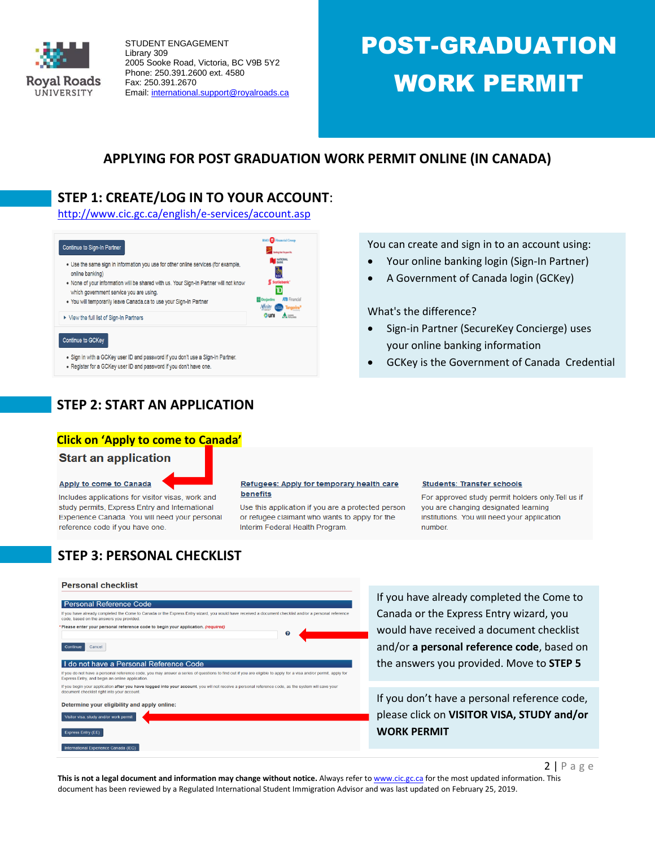

# POST-GRADUATION WORK PERMIT

# **APPLYING FOR POST GRADUATION WORK PERMIT ONLINE (IN CANADA)**

# **STEP 1: CREATE/LOG IN TO YOUR ACCOUNT**:

<http://www.cic.gc.ca/english/e-services/account.asp>



- . Sign in with a GCKey user ID and password if you don't use a Sign-In Partner.
- . Register for a GCKey user ID and password if you don't have one.

**STEP 2: START AN APPLICATION** 

#### **Click on 'Apply to come to Canada'**

#### **Start an application**

#### Apply to come to Canada

Includes applications for visitor visas, work and study permits, Express Entry and International Experience Canada. You will need your personal reference code if you have one.

#### Refugees: Apply for temporary health care benefits

Use this application if you are a protected person or refugee claimant who wants to apply for the Interim Federal Health Program.

your online banking information

Sign-in Partner (SecureKey Concierge) uses

GCKey is the Government of Canada Credential

You can create and sign in to an account using: Your online banking login (Sign-In Partner) A Government of Canada login (GCKey)

What's the difference?

#### **Students: Transfer schools**

For approved study permit holders only. Tell us if you are changing designated learning institutions. You will need your application number.

# **STEP 3: PERSONAL CHECKLIST**

#### **Personal checklist**

#### **Personal Reference Code**

#### If you have already completed the Come to Canada or the Express Entry wizard, you would have code, based on the answers you provided. ed a document checklist and/or a personal re Please enter your personal reference code to begin your application. (reg  $\mathbf{o}$

#### Continue Cancel

#### I do not have a Personal Reference Code

If you do not have a personal reference code, you may answer a series of questions to find out if you are eligible to apply for a visa and/or permit, apply fo<br>Express Entry, and begin an online application. If you begin your application after you have logged into your account, you will not receive a personal reference code, as the system will save you<br>document checklist right into your account.

# Determine your eligibility and apply online:

risitor visa, study and/or work permit Express Entry (EE) Step 3: **Step 3: According 2: According IRCCC** question and find out whether and find out whether you are eligible to a product out when the step  $\mathcal{L}$ 

If you have already completed the Come to Canada or the Express Entry wizard, you would have received a document checklist and/or **a personal reference code**, based on the answers you provided. Move to **STEP 5**

If you don't have a personal reference code, please click on **VISITOR VISA, STUDY and/or WORK PERMIT**

 $2$  | P a g e

This is not a legal document and information may change without notice. Always refer t[o www.cic.gc.ca](http://www.cic.gc.ca/) for the most updated information. This document has been reviewed by a Regulated International Student Immigration Advisor and was last updated on February 25, 2019.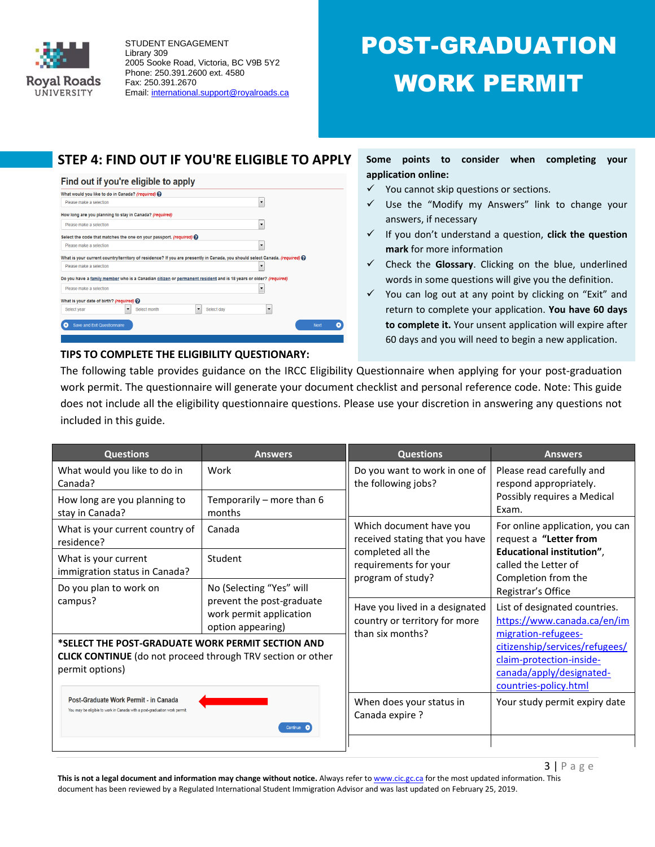

# POST-GRADUATION WORK PERMIT

# **STEP 4: FIND OUT IF YOU'RE ELIGIBLE TO APPLY**

#### Find out if you're eligible to apply



## **Some points to consider when completing your application online:**

- $\checkmark$  You cannot skip questions or sections.
- $\checkmark$  Use the "Modify my Answers" link to change your answers, if necessary
- If you don't understand a question, **click the question mark** for more information
- $\checkmark$  Check the Glossary. Clicking on the blue, underlined words in some questions will give you the definition.
- $\checkmark$  You can log out at any point by clicking on "Exit" and return to complete your application. **You have 60 days to complete it.** Your unsent application will expire after 60 days and you will need to begin a new application.

The following table provides guidance on the IRCC Eligibility Questionnaire when applying for your post-graduation work permit. The questionnaire will generate your document checklist and personal reference code. Note: This guide does not include all the eligibility questionnaire questions. Please use your discretion in answering any questions not included in this guide.

| <b>Questions</b>                                                                                                   | <b>Answers</b>                                                            | <b>Questions</b>                                                                                                             | <b>Answers</b>                                                                                                                        |
|--------------------------------------------------------------------------------------------------------------------|---------------------------------------------------------------------------|------------------------------------------------------------------------------------------------------------------------------|---------------------------------------------------------------------------------------------------------------------------------------|
| What would you like to do in<br>Canada?                                                                            | Work                                                                      | Do you want to work in one of<br>the following jobs?                                                                         | Please read carefully and<br>respond appropriately.<br>Possibly requires a Medical<br>Exam.                                           |
| How long are you planning to<br>stay in Canada?                                                                    | Temporarily - more than 6<br>months                                       |                                                                                                                              |                                                                                                                                       |
| What is your current country of<br>residence?                                                                      | Canada                                                                    | Which document have you<br>received stating that you have<br>completed all the<br>requirements for your<br>program of study? | For online application, you can<br>request a "Letter from<br>Educational institution",<br>called the Letter of<br>Completion from the |
| What is your current<br>immigration status in Canada?                                                              | Student                                                                   |                                                                                                                              |                                                                                                                                       |
| Do you plan to work on                                                                                             | No (Selecting "Yes" will                                                  |                                                                                                                              | Registrar's Office                                                                                                                    |
| campus?                                                                                                            | prevent the post-graduate<br>work permit application<br>option appearing) | Have you lived in a designated<br>country or territory for more<br>than six months?                                          | List of designated countries.<br>https://www.canada.ca/en/im                                                                          |
| *SELECT THE POST-GRADUATE WORK PERMIT SECTION AND                                                                  |                                                                           |                                                                                                                              | migration-refugees-<br>citizenship/services/refugees/                                                                                 |
| <b>CLICK CONTINUE</b> (do not proceed through TRV section or other<br>permit options)                              |                                                                           |                                                                                                                              | claim-protection-inside-<br>canada/apply/designated-<br>countries-policy.html                                                         |
| Post-Graduate Work Permit - in Canada<br>You may be eligible to work in Canada with a post-graduation work permit. | Continue C                                                                | When does your status in<br>Canada expire ?                                                                                  | Your study permit expiry date                                                                                                         |
|                                                                                                                    |                                                                           |                                                                                                                              |                                                                                                                                       |

**TIPS TO COMPLETE THE ELIGIBILITY QUESTIONARY:** 

This is not a legal document and information may change without notice. Always refer t[o www.cic.gc.ca](http://www.cic.gc.ca/) for the most updated information. This document has been reviewed by a Regulated International Student Immigration Advisor and was last updated on February 25, 2019.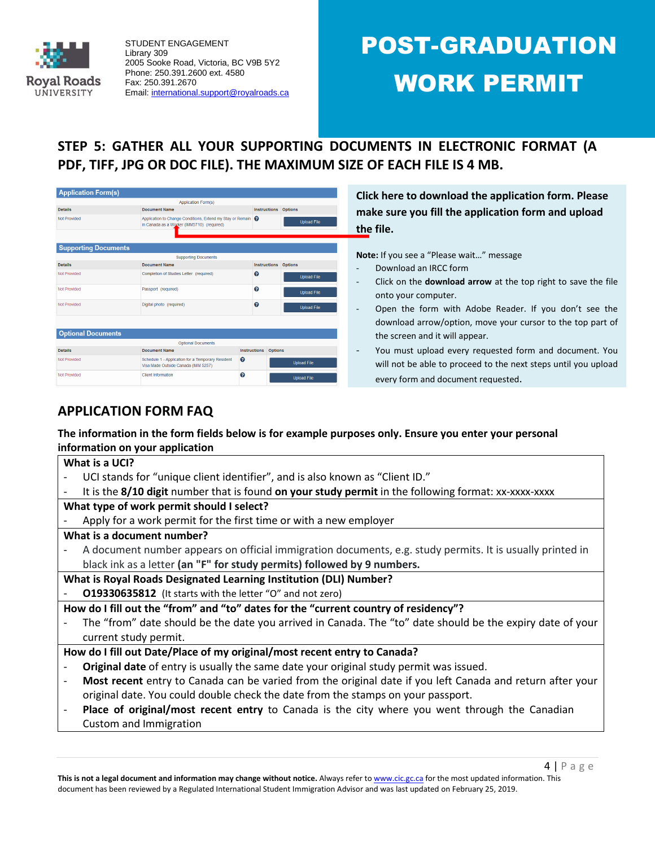

# POST-GRADUATION WORK PERMIT

# **STEP 5: GATHER ALL YOUR SUPPORTING DOCUMENTS IN ELECTRONIC FORMAT (A PDF, TIFF, JPG OR DOC FILE). THE MAXIMUM SIZE OF EACH FILE IS 4 MB.**

| <b>Application Form(s)</b>  |                                                                                                            |                                       |
|-----------------------------|------------------------------------------------------------------------------------------------------------|---------------------------------------|
|                             | <b>Application Form(s)</b>                                                                                 |                                       |
| <b>Details</b>              | <b>Document Name</b>                                                                                       | <b>Instructions</b><br><b>Options</b> |
| Not Provided                | Application to Change Conditions, Extend my Stay or Remain @<br>in Canada as a Worker (IMM5710) (required) | <b>Upload File</b>                    |
| <b>Supporting Documents</b> |                                                                                                            |                                       |
|                             | <b>Supporting Documents</b>                                                                                |                                       |
| <b>Details</b>              | <b>Document Name</b>                                                                                       | <b>Options</b><br><b>Instructions</b> |
| Not Provided                | Completion of Studies Letter (required)                                                                    | 0<br><b>Upload File</b>               |
| Not Provided                | Passport (required)                                                                                        | ิค<br><b>Upload File</b>              |
| Not Provided                | Digital photo (required)                                                                                   | 0<br><b>Upload File</b>               |
| <b>Optional Documents</b>   |                                                                                                            |                                       |
|                             | <b>Optional Documents</b>                                                                                  |                                       |
| <b>Details</b>              | <b>Document Name</b>                                                                                       | <b>Instructions</b><br><b>Options</b> |
| Not Provided                | Schedule 1 - Application for a Temporary Resident<br>Visa Made Outside Canada (IMM 5257)                   | ຨ<br><b>Upload File</b>               |
| Not Provided                | <b>Client Information</b>                                                                                  | ค<br><b>Upload File</b>               |

**Click here to download the application form. Please make sure you fill the application form and upload the file.**

**Note:** If you see a "Please wait…" message

- Download an IRCC form
- Click on the **download arrow** at the top right to save the file onto your computer.
- Open the form with Adobe Reader. If you don't see the download arrow/option, move your cursor to the top part of the screen and it will appear.
- You must upload every requested form and document. You will not be able to proceed to the next steps until you upload every form and document requested.

# **APPLICATION FORM FAQ**

# **The information in the form fields below is for example purposes only. Ensure you enter your personal information on your application**

## **What is a UCI?**

- UCI stands for "unique client identifier", and is also known as "Client ID."
- It is the **8/10 digit** number that is found **on your study permit** in the following format: xx-xxxx-xxxx
- **What type of work permit should I select?**
- Apply for a work permit for the first time or with a new employer

## **What is a document number?**

- A document number appears on official immigration documents, e.g. study permits. It is usually printed in black ink as a letter **(an "F" for study permits) followed by 9 numbers.**
- **What is Royal Roads Designated Learning Institution (DLI) Number?**
- **O19330635812** (It starts with the letter "O" and not zero)

**How do I fill out the "from" and "to" dates for the "current country of residency"?**

The "from" date should be the date you arrived in Canada. The "to" date should be the expiry date of your current study permit.

# **How do I fill out Date/Place of my original/most recent entry to Canada?**

- **Original date** of entry is usually the same date your original study permit was issued.
- **Most recent** entry to Canada can be varied from the original date if you left Canada and return after your original date. You could double check the date from the stamps on your passport.
- Place of original/most recent entry to Canada is the city where you went through the Canadian Custom and Immigration

 $4$  | P a g e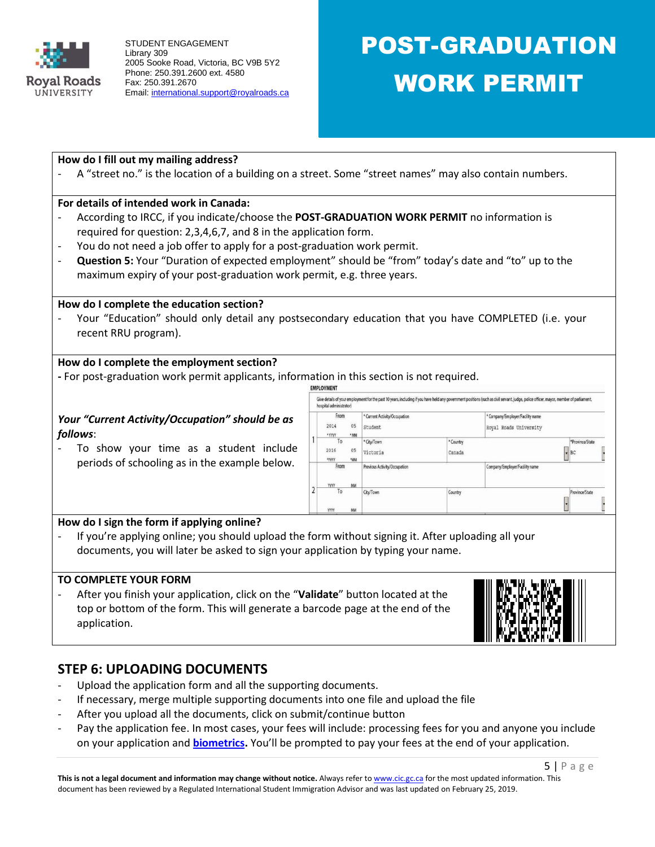

# POST-GRADUATION WORK PERMIT

## **How do I fill out my mailing address?**

A "street no." is the location of a building on a street. Some "street names" may also contain numbers.

## **For details of intended work in Canada:**

- According to IRCC, if you indicate/choose the **POST-GRADUATION WORK PERMIT** no information is required for question: 2,3,4,6,7, and 8 in the application form.
- You do not need a job offer to apply for a post-graduation work permit.
- **Question 5:** Your "Duration of expected employment" should be "from" today's date and "to" up to the maximum expiry of your post-graduation work permit, e.g. three years.

## **How do I complete the education section?**

Your "Education" should only detail any postsecondary education that you have COMPLETED (i.e. your recent RRU program).

## **How do I complete the employment section?**

**-** For post-graduation work permit applicants, information in this section is not required.

## *Your "Current Activity/Occupation" should be as follows*:

To show your time as a student include periods of schooling as in the example below.

|  | From<br>* Current Activity/Occupation |            |                              | * Company/Employer/Facility name |                                |                 |  |
|--|---------------------------------------|------------|------------------------------|----------------------------------|--------------------------------|-----------------|--|
|  | 2014<br>· YYYY                        | 05<br>* MM | Student                      |                                  | Royal Roads University         |                 |  |
|  | To                                    |            | * City/Town                  | * Country                        |                                | *Province/State |  |
|  | 2016<br>mm                            | 05<br>"MM  | Victoria                     | Canada                           |                                | $\bullet$ BC    |  |
|  | From<br><b>YYYY</b>                   | <b>MM</b>  | Previous Activity/Occupation |                                  | Company/Employer/Facility name |                 |  |
|  | To<br>YYYY                            | MM         | City/Town                    | Country                          |                                | Province/State  |  |

# **How do I sign the form if applying online?**

If you're applying online; you should upload the form without signing it. After uploading all your documents, you will later be asked to sign your application by typing your name.

## **TO COMPLETE YOUR FORM**

- After you finish your application, click on the "**Validate**" button located at the top or bottom of the form. This will generate a barcode page at the end of the application.



# **STEP 6: UPLOADING DOCUMENTS**

- Upload the application form and all the supporting documents.
- If necessary, merge multiple supporting documents into one file and upload the file
- After you upload all the documents, click on submit/continue button
- Pay the application fee. In most cases, your fees will include: processing fees for you and anyone you include on your application and **[biometrics.](https://www.canada.ca/en/immigration-refugees-citizenship/campaigns/biometrics/facts.html)** You'll be prompted to pay your fees at the end of your application.

**This is not a legal document and information may change without notice.** Always refer t[o www.cic.gc.ca](http://www.cic.gc.ca/) for the most updated information. This document has been reviewed by a Regulated International Student Immigration Advisor and was last updated on February 25, 2019.